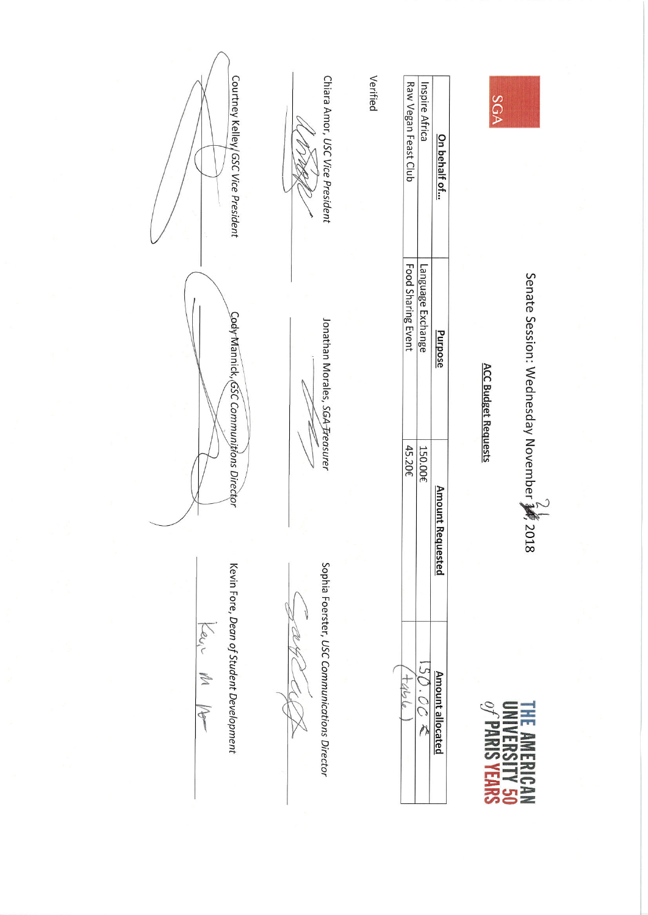

Senate Session: Wednesday November 新 2018

**THE AMERICAN**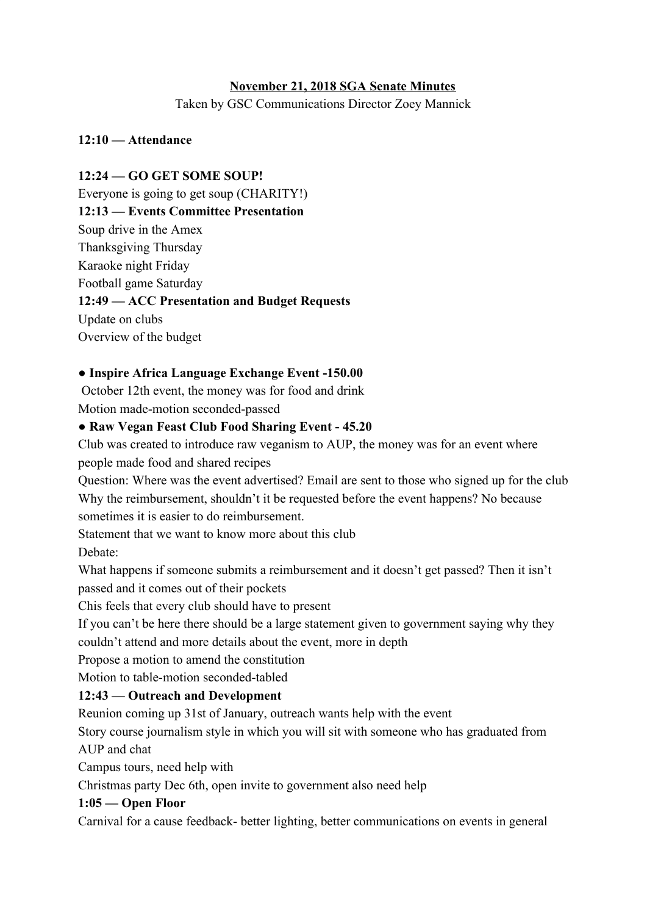# **November 21, 2018 SGA Senate Minutes**

Taken by GSC Communications Director Zoey Mannick

### **12:10 — Attendance**

**12:24 — GO GET SOME SOUP!** Everyone is going to get soup (CHARITY!) **12:13 — Events Committee Presentation** Soup drive in the Amex Thanksgiving Thursday Karaoke night Friday Football game Saturday **12:49 — ACC Presentation and Budget Requests** Update on clubs Overview of the budget

### **● Inspire Africa Language Exchange Event -150.00**

October 12th event, the money was for food and drink Motion made-motion seconded-passed

### **● Raw Vegan Feast Club Food Sharing Event - 45.20**

Club was created to introduce raw veganism to AUP, the money was for an event where people made food and shared recipes

Question: Where was the event advertised? Email are sent to those who signed up for the club Why the reimbursement, shouldn't it be requested before the event happens? No because sometimes it is easier to do reimbursement.

Statement that we want to know more about this club Debate:

What happens if someone submits a reimbursement and it doesn't get passed? Then it isn't passed and it comes out of their pockets

Chis feels that every club should have to present

If you can't be here there should be a large statement given to government saying why they couldn't attend and more details about the event, more in depth

Propose a motion to amend the constitution

Motion to table-motion seconded-tabled

# **12:43 — Outreach and Development**

Reunion coming up 31st of January, outreach wants help with the event

Story course journalism style in which you will sit with someone who has graduated from AUP and chat

Campus tours, need help with

Christmas party Dec 6th, open invite to government also need help

#### **1:05 — Open Floor**

Carnival for a cause feedback- better lighting, better communications on events in general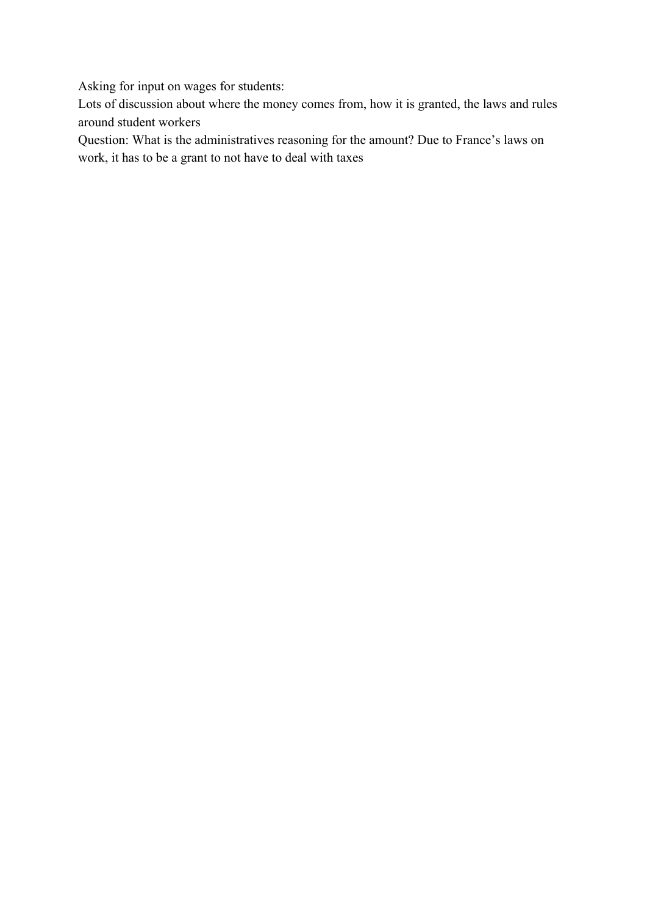Asking for input on wages for students:

Lots of discussion about where the money comes from, how it is granted, the laws and rules around student workers

Question: What is the administratives reasoning for the amount? Due to France's laws on work, it has to be a grant to not have to deal with taxes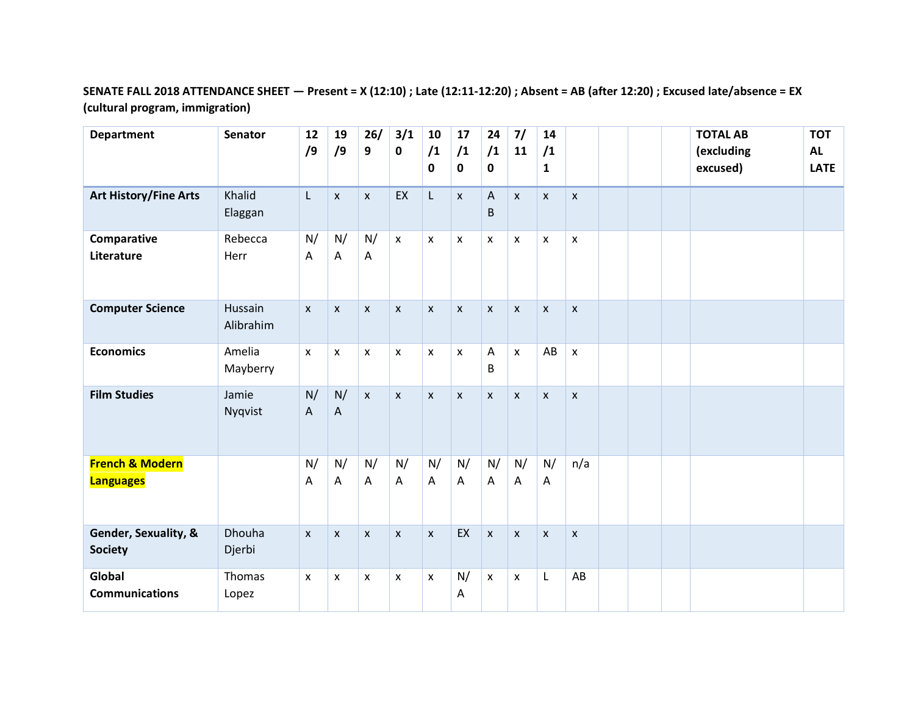## **SENATE FALL 2018 ATTENDANCE SHEET — Present = X (12:10) ; Late (12:11-12:20) ; Absent = AB (after 12:20) ; Excused late/absence = EX (cultural program, immigration)**

| <b>Department</b>                              | <b>Senator</b>          | 12<br>/9                  | 19<br>/9           | 26/<br>9                  | 3/1<br>$\pmb{0}$   | 10<br>/1<br>0      | 17<br>/1<br>0      | 24<br>/1<br>0                  | 7/<br>11                  | 14<br>/1<br>1  |                    |  | <b>TOTAL AB</b><br>(excluding<br>excused) | <b>TOT</b><br><b>AL</b><br><b>LATE</b> |
|------------------------------------------------|-------------------------|---------------------------|--------------------|---------------------------|--------------------|--------------------|--------------------|--------------------------------|---------------------------|----------------|--------------------|--|-------------------------------------------|----------------------------------------|
| <b>Art History/Fine Arts</b>                   | Khalid<br>Elaggan       | L                         | $\pmb{\mathsf{x}}$ | $\pmb{\mathsf{X}}$        | EX                 | L                  | X                  | $\boldsymbol{\mathsf{A}}$<br>B | $\mathsf{x}$              | $\pmb{\times}$ | $\pmb{\mathsf{X}}$ |  |                                           |                                        |
| Comparative<br>Literature                      | Rebecca<br>Herr         | N/<br>Α                   | N/<br>Α            | N/<br>A                   | $\mathsf{x}$       | $\pmb{\chi}$       | $\pmb{\mathsf{x}}$ | $\mathsf{x}$                   | $\pmb{\mathsf{X}}$        | $\pmb{\times}$ | $\pmb{\mathsf{X}}$ |  |                                           |                                        |
| <b>Computer Science</b>                        | Hussain<br>Alibrahim    | $\pmb{\chi}$              | X                  | $\mathsf{x}$              | $\mathsf{x}$       | $\boldsymbol{x}$   | X                  | $\mathsf{x}$                   | $\boldsymbol{\mathsf{x}}$ | $\mathsf{x}$   | $\mathsf{x}$       |  |                                           |                                        |
| <b>Economics</b>                               | Amelia<br>Mayberry      | $\boldsymbol{\mathsf{x}}$ | $\mathsf{x}$       | $\boldsymbol{\mathsf{X}}$ | X                  | $\pmb{\times}$     | X                  | Α<br>B                         | $\mathsf{x}$              | AB             | $\pmb{\mathsf{x}}$ |  |                                           |                                        |
| <b>Film Studies</b>                            | Jamie<br>Nyqvist        | N/<br>A                   | N/<br>A            | $\mathsf{x}$              | $\mathsf{x}$       | $\pmb{\mathsf{x}}$ | $\pmb{\mathsf{X}}$ | $\pmb{\mathsf{x}}$             | $\pmb{\times}$            | $\pmb{\times}$ | $\pmb{\mathsf{X}}$ |  |                                           |                                        |
| <b>French &amp; Modern</b><br><b>Languages</b> |                         | N/<br>A                   | N/<br>A            | N/<br>A                   | N/<br>$\mathsf{A}$ | N/<br>$\mathsf{A}$ | N/<br>A            | N/<br>A                        | N/<br>$\overline{A}$      | N/<br>A        | n/a                |  |                                           |                                        |
| Gender, Sexuality, &<br><b>Society</b>         | <b>Dhouha</b><br>Djerbi | $\mathsf{x}$              | $\mathsf{x}$       | $\mathsf{x}$              | $\mathsf{x}$       | $\mathsf{x}$       | EX                 | $\pmb{\times}$                 | $\boldsymbol{\mathsf{x}}$ | $\pmb{\times}$ | $\mathsf{x}$       |  |                                           |                                        |
| Global<br><b>Communications</b>                | Thomas<br>Lopez         | X                         | X                  | x                         | X                  | X                  | N/<br>A            | $\mathsf{x}$                   | $\pmb{\mathsf{X}}$        | L              | AB                 |  |                                           |                                        |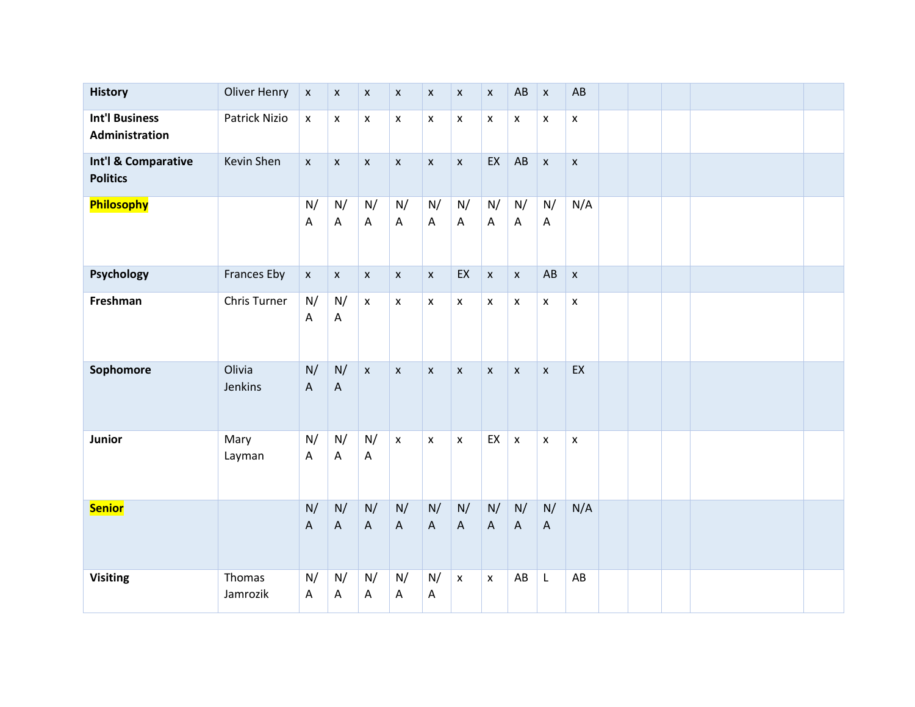| <b>History</b>                          | <b>Oliver Henry</b> | $\pmb{\mathsf{x}}$              | $\pmb{\mathsf{X}}$ | $\pmb{\mathsf{x}}$ | $\pmb{\mathsf{x}}$              | $\pmb{\mathsf{x}}$              | $\pmb{\mathsf{x}}$              | $\pmb{\mathsf{x}}$              | AB                              | $\pmb{\mathsf{X}}$              | AB                 |  |  |  |
|-----------------------------------------|---------------------|---------------------------------|--------------------|--------------------|---------------------------------|---------------------------------|---------------------------------|---------------------------------|---------------------------------|---------------------------------|--------------------|--|--|--|
| <b>Int'l Business</b><br>Administration | Patrick Nizio       | $\pmb{\mathsf{x}}$              | $\pmb{\mathsf{X}}$ | $\pmb{\mathsf{X}}$ | $\pmb{\mathsf{x}}$              | $\pmb{\mathsf{x}}$              | $\pmb{\mathsf{x}}$              | $\pmb{\mathsf{X}}$              | $\pmb{\mathsf{X}}$              | $\pmb{\mathsf{x}}$              | $\pmb{\times}$     |  |  |  |
| Int'l & Comparative<br><b>Politics</b>  | Kevin Shen          | $\pmb{\mathsf{x}}$              | $\pmb{\mathsf{x}}$ | $\pmb{\mathsf{x}}$ | $\pmb{\mathsf{x}}$              | $\pmb{\times}$                  | $\pmb{\mathsf{x}}$              | EX                              | AB                              | $\pmb{\mathsf{X}}$              | $\pmb{\times}$     |  |  |  |
| Philosophy                              |                     | N/<br>A                         | N/<br>A            | N/<br>A            | N/<br>A                         | N/<br>$\mathsf{A}$              | N/<br>$\mathsf{A}$              | N/<br>A                         | N/<br>$\mathsf{A}$              | N/<br>$\overline{A}$            | N/A                |  |  |  |
| Psychology                              | <b>Frances Eby</b>  | $\pmb{\mathsf{X}}$              | $\mathsf X$        | $\pmb{\mathsf{x}}$ | $\mathsf X$                     | $\pmb{\mathsf{x}}$              | EX                              | $\pmb{\mathsf{x}}$              | $\pmb{\mathsf{x}}$              | AB                              | $\pmb{\mathsf{x}}$ |  |  |  |
| Freshman                                | Chris Turner        | N/<br>A                         | N/<br>A            | $\pmb{\mathsf{x}}$ | $\pmb{\mathsf{x}}$              | $\pmb{\mathsf{x}}$              | $\pmb{\mathsf{X}}$              | $\pmb{\mathsf{x}}$              | $\pmb{\mathsf{x}}$              | $\pmb{\times}$                  | $\pmb{\mathsf{x}}$ |  |  |  |
| Sophomore                               | Olivia<br>Jenkins   | N/<br>$\boldsymbol{\mathsf{A}}$ | N/<br>$\mathsf{A}$ | $\mathsf X$        | $\pmb{\mathsf{x}}$              | $\pmb{\times}$                  | $\mathsf{x}$                    | $\pmb{\mathsf{X}}$              | $\pmb{\chi}$                    | $\pmb{\times}$                  | EX                 |  |  |  |
| Junior                                  | Mary<br>Layman      | N/<br>$\boldsymbol{\mathsf{A}}$ | N/<br>A            | N/<br>A            | $\pmb{\mathsf{x}}$              | $\pmb{\times}$                  | $\pmb{\mathsf{X}}$              | EX                              | $\pmb{\times}$                  | $\pmb{\times}$                  | $\pmb{\mathsf{x}}$ |  |  |  |
| <b>Senior</b>                           |                     | N/<br>$\mathsf A$               | N/<br>$\mathsf A$  | N/<br>$\mathsf A$  | N/<br>$\boldsymbol{\mathsf{A}}$ | N/<br>$\boldsymbol{\mathsf{A}}$ | N/<br>$\boldsymbol{\mathsf{A}}$ | N/<br>$\boldsymbol{\mathsf{A}}$ | N/<br>$\boldsymbol{\mathsf{A}}$ | N/<br>$\boldsymbol{\mathsf{A}}$ | N/A                |  |  |  |
| <b>Visiting</b>                         | Thomas<br>Jamrozik  | N/<br>A                         | N/<br>A            | N/<br>A            | N/<br>A                         | N/<br>$\boldsymbol{\mathsf{A}}$ | $\pmb{\times}$                  | $\pmb{\mathsf{x}}$              | AB                              | L                               | AB                 |  |  |  |